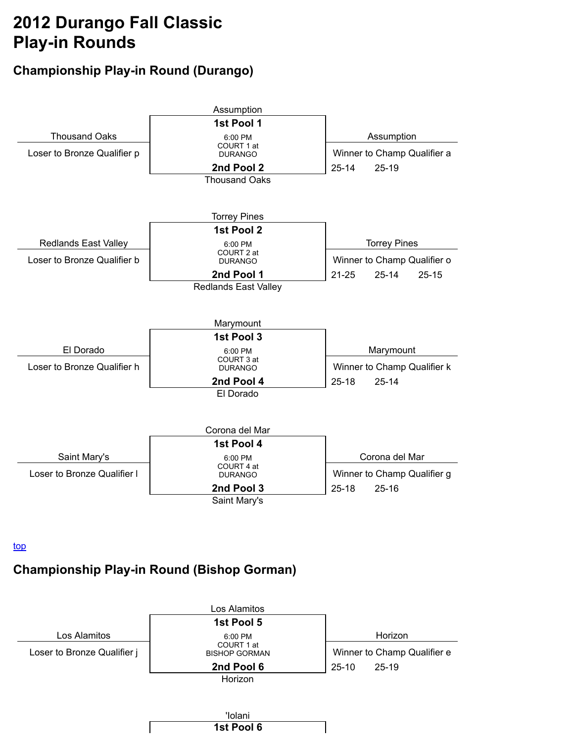# **2012 Durango Fall Classic Play-in Rounds**

# **Championship Play-in Round (Durango)**



top

### **Championship Play-in Round (Bishop Gorman)**

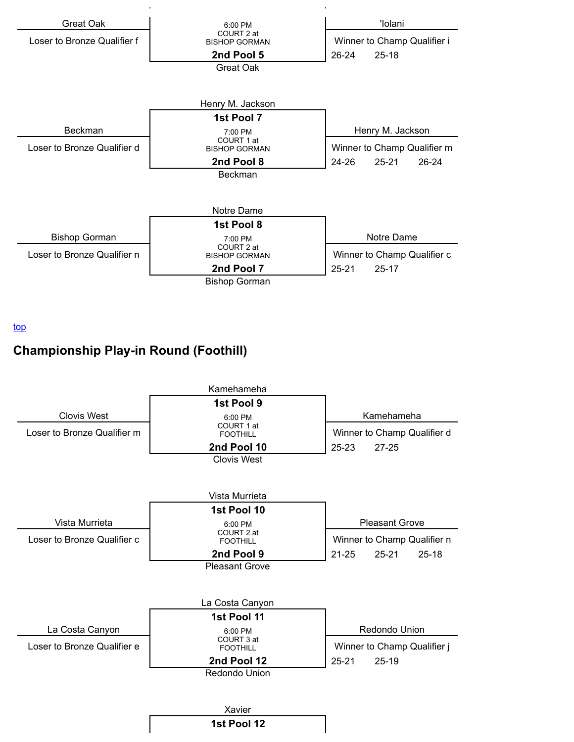

top

# **Championship Play-in Round (Foothill)**

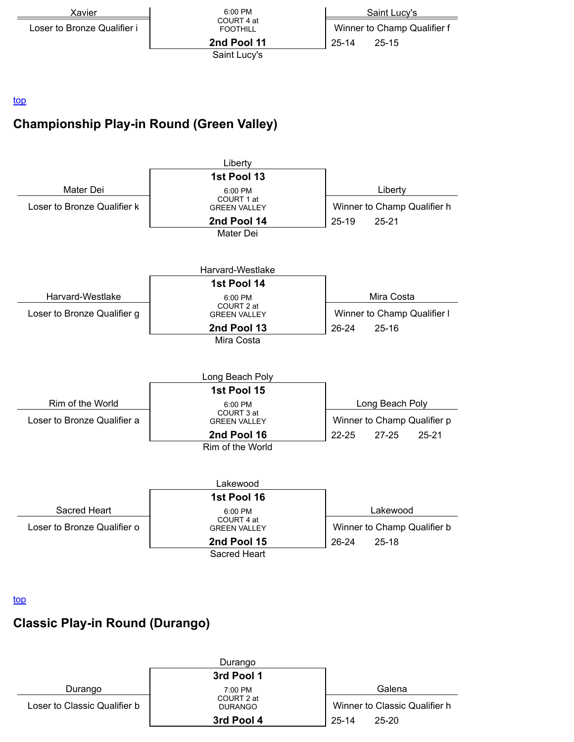

#### top

# **Championship Play-in Round (Green Valley)**



#### top

### **Classic Play-in Round (Durango)**

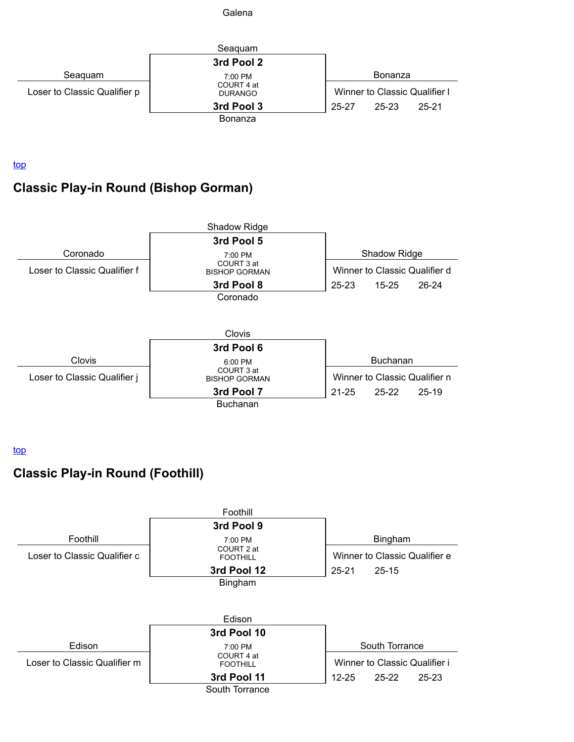

top

# **Classic Play-in Round (Bishop Gorman)**



top

# **Classic Play-in Round (Foothill)**